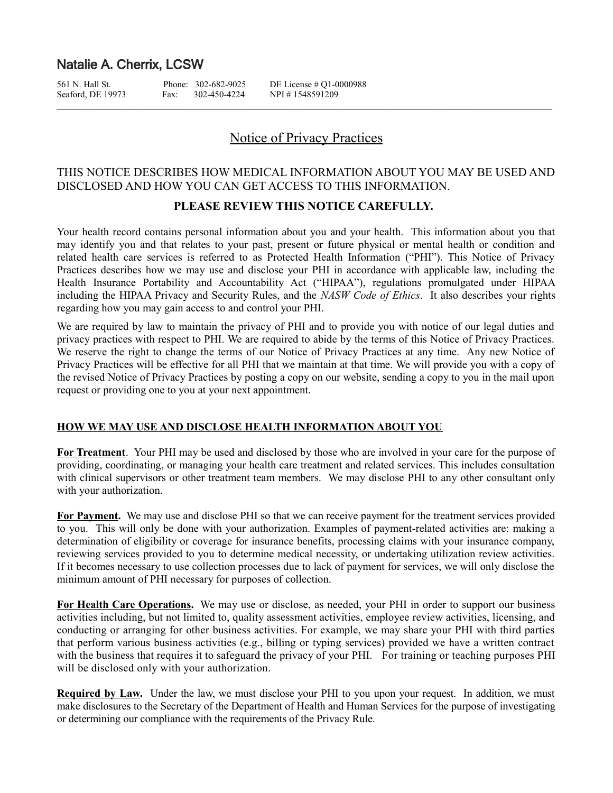# Natalie A. Cherrix, LCSW

Seaford, DE 19973 Fax: 302-450-4224 NPI # 1548591209

561 N. Hall St. Phone: 302-682-9025 DE License # Q1-0000988

# Notice of Privacy Practices

# THIS NOTICE DESCRIBES HOW MEDICAL INFORMATION ABOUT YOU MAY BE USED AND DISCLOSED AND HOW YOU CAN GET ACCESS TO THIS INFORMATION.

# **PLEASE REVIEW THIS NOTICE CAREFULLY.**

Your health record contains personal information about you and your health. This information about you that may identify you and that relates to your past, present or future physical or mental health or condition and related health care services is referred to as Protected Health Information ("PHI"). This Notice of Privacy Practices describes how we may use and disclose your PHI in accordance with applicable law, including the Health Insurance Portability and Accountability Act ("HIPAA"), regulations promulgated under HIPAA including the HIPAA Privacy and Security Rules, and the *NASW Code of Ethics*. It also describes your rights regarding how you may gain access to and control your PHI.

We are required by law to maintain the privacy of PHI and to provide you with notice of our legal duties and privacy practices with respect to PHI. We are required to abide by the terms of this Notice of Privacy Practices. We reserve the right to change the terms of our Notice of Privacy Practices at any time. Any new Notice of Privacy Practices will be effective for all PHI that we maintain at that time. We will provide you with a copy of the revised Notice of Privacy Practices by posting a copy on our website, sending a copy to you in the mail upon request or providing one to you at your next appointment.

# **HOW WE MAY USE AND DISCLOSE HEALTH INFORMATION ABOUT YOU**

**For Treatment**.Your PHI may be used and disclosed by those who are involved in your care for the purpose of providing, coordinating, or managing your health care treatment and related services. This includes consultation with clinical supervisors or other treatment team members. We may disclose PHI to any other consultant only with your authorization.

**For Payment.** We may use and disclose PHI so that we can receive payment for the treatment services provided to you. This will only be done with your authorization. Examples of payment-related activities are: making a determination of eligibility or coverage for insurance benefits, processing claims with your insurance company, reviewing services provided to you to determine medical necessity, or undertaking utilization review activities. If it becomes necessary to use collection processes due to lack of payment for services, we will only disclose the minimum amount of PHI necessary for purposes of collection.

**For Health Care Operations.** We may use or disclose, as needed, your PHI in order to support our business activities including, but not limited to, quality assessment activities, employee review activities, licensing, and conducting or arranging for other business activities. For example, we may share your PHI with third parties that perform various business activities (e.g., billing or typing services) provided we have a written contract with the business that requires it to safeguard the privacy of your PHI. For training or teaching purposes PHI will be disclosed only with your authorization.

**Required by Law.** Under the law, we must disclose your PHI to you upon your request. In addition, we must make disclosures to the Secretary of the Department of Health and Human Services for the purpose of investigating or determining our compliance with the requirements of the Privacy Rule.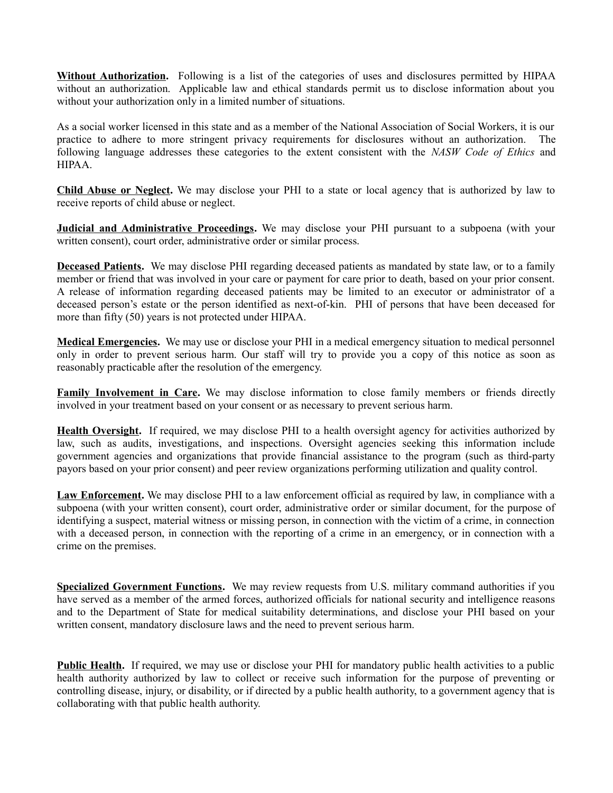**Without Authorization.** Following is a list of the categories of uses and disclosures permitted by HIPAA without an authorization. Applicable law and ethical standards permit us to disclose information about you without your authorization only in a limited number of situations.

As a social worker licensed in this state and as a member of the National Association of Social Workers, it is our practice to adhere to more stringent privacy requirements for disclosures without an authorization.The following language addresses these categories to the extent consistent with the *NASW Code of Ethics* and HIPAA.

**Child Abuse or Neglect.** We may disclose your PHI to a state or local agency that is authorized by law to receive reports of child abuse or neglect.

**Judicial and Administrative Proceedings.** We may disclose your PHI pursuant to a subpoena (with your written consent), court order, administrative order or similar process.

**Deceased Patients.** We may disclose PHI regarding deceased patients as mandated by state law, or to a family member or friend that was involved in your care or payment for care prior to death, based on your prior consent. A release of information regarding deceased patients may be limited to an executor or administrator of a deceased person's estate or the person identified as next-of-kin. PHI of persons that have been deceased for more than fifty (50) years is not protected under HIPAA.

**Medical Emergencies.** We may use or disclose your PHI in a medical emergency situation to medical personnel only in order to prevent serious harm. Our staff will try to provide you a copy of this notice as soon as reasonably practicable after the resolution of the emergency.

**Family Involvement in Care.** We may disclose information to close family members or friends directly involved in your treatment based on your consent or as necessary to prevent serious harm.

**Health Oversight.** If required, we may disclose PHI to a health oversight agency for activities authorized by law, such as audits, investigations, and inspections. Oversight agencies seeking this information include government agencies and organizations that provide financial assistance to the program (such as third-party payors based on your prior consent) and peer review organizations performing utilization and quality control.

**Law Enforcement.** We may disclose PHI to a law enforcement official as required by law, in compliance with a subpoena (with your written consent), court order, administrative order or similar document, for the purpose of identifying a suspect, material witness or missing person, in connection with the victim of a crime, in connection with a deceased person, in connection with the reporting of a crime in an emergency, or in connection with a crime on the premises.

**Specialized Government Functions.** We may review requests from U.S. military command authorities if you have served as a member of the armed forces, authorized officials for national security and intelligence reasons and to the Department of State for medical suitability determinations, and disclose your PHI based on your written consent, mandatory disclosure laws and the need to prevent serious harm.

**Public Health.** If required, we may use or disclose your PHI for mandatory public health activities to a public health authority authorized by law to collect or receive such information for the purpose of preventing or controlling disease, injury, or disability, or if directed by a public health authority, to a government agency that is collaborating with that public health authority.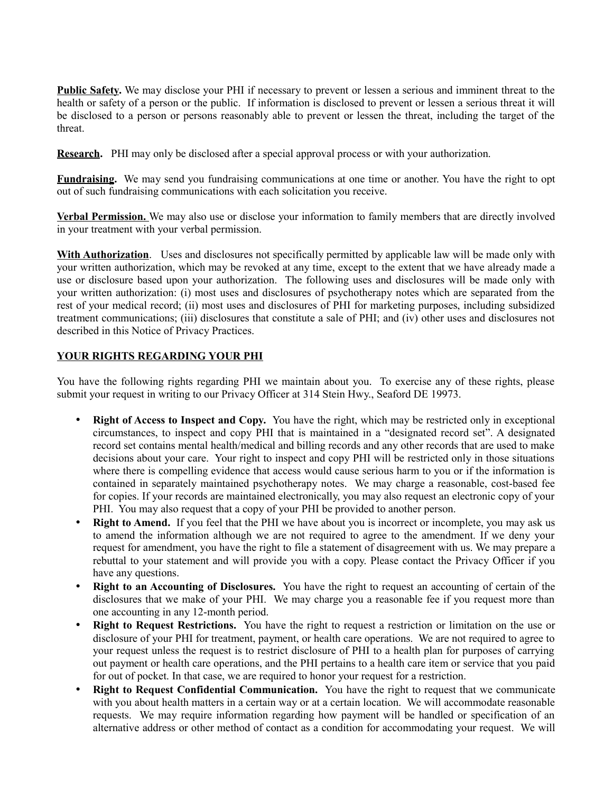**Public Safety.** We may disclose your PHI if necessary to prevent or lessen a serious and imminent threat to the health or safety of a person or the public. If information is disclosed to prevent or lessen a serious threat it will be disclosed to a person or persons reasonably able to prevent or lessen the threat, including the target of the threat.

**Research.** PHI may only be disclosed after a special approval process or with your authorization.

**Fundraising.** We may send you fundraising communications at one time or another. You have the right to opt out of such fundraising communications with each solicitation you receive.

**Verbal Permission.** We may also use or disclose your information to family members that are directly involved in your treatment with your verbal permission.

**With Authorization**. Uses and disclosures not specifically permitted by applicable law will be made only with your written authorization, which may be revoked at any time, except to the extent that we have already made a use or disclosure based upon your authorization. The following uses and disclosures will be made only with your written authorization: (i) most uses and disclosures of psychotherapy notes which are separated from the rest of your medical record; (ii) most uses and disclosures of PHI for marketing purposes, including subsidized treatment communications; (iii) disclosures that constitute a sale of PHI; and (iv) other uses and disclosures not described in this Notice of Privacy Practices.

# **YOUR RIGHTS REGARDING YOUR PHI**

You have the following rights regarding PHI we maintain about you. To exercise any of these rights, please submit your request in writing to our Privacy Officer at 314 Stein Hwy., Seaford DE 19973.

- **Right of Access to Inspect and Copy.** You have the right, which may be restricted only in exceptional circumstances, to inspect and copy PHI that is maintained in a "designated record set". A designated record set contains mental health/medical and billing records and any other records that are used to make decisions about your care. Your right to inspect and copy PHI will be restricted only in those situations where there is compelling evidence that access would cause serious harm to you or if the information is contained in separately maintained psychotherapy notes. We may charge a reasonable, cost-based fee for copies. If your records are maintained electronically, you may also request an electronic copy of your PHI. You may also request that a copy of your PHI be provided to another person.
- **Right to Amend.** If you feel that the PHI we have about you is incorrect or incomplete, you may ask us to amend the information although we are not required to agree to the amendment. If we deny your request for amendment, you have the right to file a statement of disagreement with us. We may prepare a rebuttal to your statement and will provide you with a copy. Please contact the Privacy Officer if you have any questions.
- **Right to an Accounting of Disclosures.** You have the right to request an accounting of certain of the disclosures that we make of your PHI. We may charge you a reasonable fee if you request more than one accounting in any 12-month period.
- **Right to Request Restrictions.** You have the right to request a restriction or limitation on the use or disclosure of your PHI for treatment, payment, or health care operations. We are not required to agree to your request unless the request is to restrict disclosure of PHI to a health plan for purposes of carrying out payment or health care operations, and the PHI pertains to a health care item or service that you paid for out of pocket. In that case, we are required to honor your request for a restriction.
- **Right to Request Confidential Communication.** You have the right to request that we communicate with you about health matters in a certain way or at a certain location. We will accommodate reasonable requests. We may require information regarding how payment will be handled or specification of an alternative address or other method of contact as a condition for accommodating your request. We will